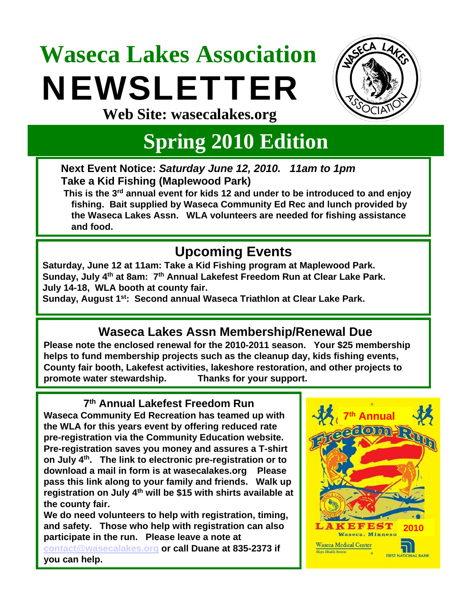# **Waseca Lakes Association**  NEWSLETTER



**Web Site: wasecalakes.org**

### **Spring 2010 Edition**

**Next Event Notice:** *Saturday June 12, 2010. 11am to 1pm* **Take a Kid Fishing (Maplewood Park)**

**This is the 3rd annual event for kids 12 and under to be introduced to and enjoy fishing. Bait supplied by Waseca Community Ed Rec and lunch provided by the Waseca Lakes Assn. WLA volunteers are needed for fishing assistance and food.**

### **Upcoming Events**

**Saturday, June 12 at 11am: Take a Kid Fishing program at Maplewood Park. Sunday, July 4th at 8am: 7th Annual Lakefest Freedom Run at Clear Lake Park. July 14-18, WLA booth at county fair.**

**Sunday, August 1st: Second annual Waseca Triathlon at Clear Lake Park.**

### **Waseca Lakes Assn Membership/Renewal Due**

**Please note the enclosed renewal for the 2010-2011 season. Your \$25 membership helps to fund membership projects such as the cleanup day, kids fishing events, County fair booth, Lakefest activities, lakeshore restoration, and other projects to promote water stewardship. Thanks for your support.**

**7th Annual Lakefest Freedom Run Waseca Community Ed Recreation has teamed up with the WLA for this years event by offering reduced rate pre-registration via the Community Education website. Pre-registration saves you money and assures a T-shirt on July 4th. The link to electronic pre-registration or to download a mail in form is at wasecalakes.org Please pass this link along to your family and friends. Walk up registration on July 4th will be \$15 with shirts available at the county fair.**

**We do need volunteers to help with registration, timing, and safety. Those who help with registration can also participate in the run. Please leave a note at [contact@wasecalakes.org](mailto:contact@wasecalakes.org) or call Duane at 835-2373 if you can help.**